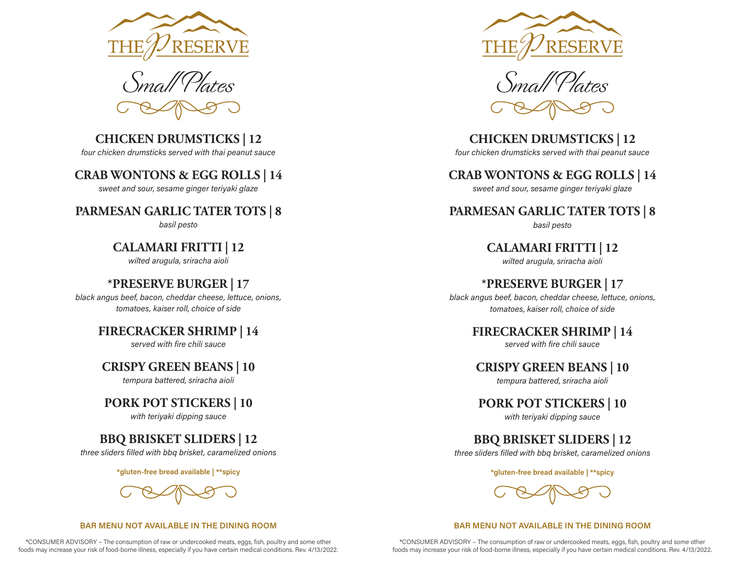



# **CHICKEN DRUMSTICKS | 12**

*four chicken drumsticks served with thai peanut sauce*

## **CRAB WONTONS & EGG ROLLS | 14**

*sweet and sour, sesame ginger teriyaki glaze*

## **PARMESAN GARLIC TATER TOTS | 8**

*basil pesto*

## **CALAMARI FRITTI | 12**

*wilted arugula, sriracha aioli*

## **\*PRESERVE BURGER | 17**

*black angus beef, bacon, cheddar cheese, lettuce, onions, tomatoes, kaiser roll, choice of side*

## **FIRECRACKER SHRIMP | 14**

*served with fire chili sauce*

## **CRISPY GREEN BEANS | 10**

*tempura battered, sriracha aioli*

## **PORK POT STICKERS | 10**

*with teriyaki dipping sauce*

# **BBQ BRISKET SLIDERS | 12**

*three sliders filled with bbq brisket, caramelized onions*

**\*gluten-free bread available | \*\*spicy**

#### **BAR MENU NOT AVAILABLE IN THE DINING ROOM**

\*CONSUMER ADVISORY – The consumption of raw or undercooked meats, eggs, fish, poultry and some other foods may increase your risk of food-borne illness, especially if you have certain medical conditions. Rev. 4/13/2022.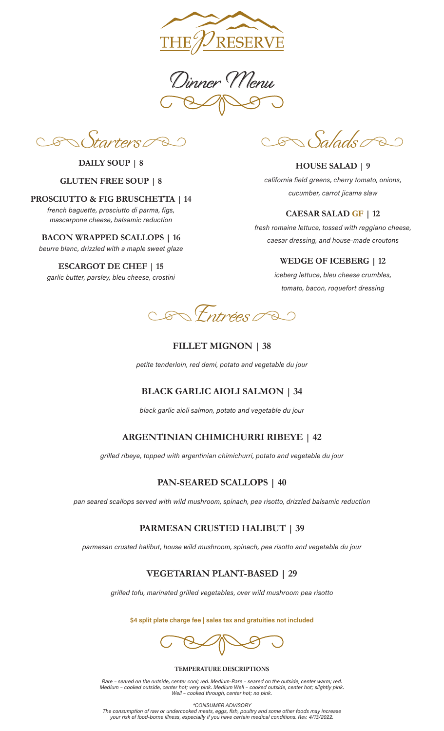

Dinner Menu

Starters

**DAILY SOUP | 8**

### **GLUTEN FREE SOUP | 8**

**PROSCIUTTO & FIG BRUSCHETTA | 14**

*french baguette, prosciutto di parma, figs, mascarpone cheese, balsamic reduction*

**BACON WRAPPED SCALLOPS | 16** *beurre blanc, drizzled with a maple sweet glaze* 

**ESCARGOT DE CHEF | 15** *garlic butter, parsley, bleu cheese, crostini*

Salads Q  $\mathscr{D}$ 

**HOUSE SALAD | 9** *california field greens, cherry tomato, onions, cucumber, carrot jicama slaw*

### **CAESAR SALAD GF | 12**

*fresh romaine lettuce, tossed with reggiano cheese, caesar dressing, and house-made croutons*

#### **WEDGE OF ICEBERG | 12**

*iceberg lettuce, bleu cheese crumbles, tomato, bacon, roquefort dressing*



### **FILLET MIGNON | 38**

*petite tenderloin, red demi, potato and vegetable du jour*

## **BLACK GARLIC AIOLI SALMON | 34**

*black garlic aioli salmon, potato and vegetable du jour*

## **ARGENTINIAN CHIMICHURRI RIBEYE | 42**

*grilled ribeye, topped with argentinian chimichurri, potato and vegetable du jour*

## **PAN-SEARED SCALLOPS | 40**

*pan seared scallops served with wild mushroom, spinach, pea risotto, drizzled balsamic reduction* 

## **PARMESAN CRUSTED HALIBUT | 39**

*parmesan crusted halibut, house wild mushroom, spinach, pea risotto and vegetable du jour*

## **VEGETARIAN PLANT-BASED | 29**

*grilled tofu, marinated grilled vegetables, over wild mushroom pea risotto*

**\$4 split plate charge fee | sales tax and gratuities not included**

#### **TEMPERATURE DESCRIPTIONS**

*Rare – seared on the outside, center cool; red. Medium-Rare – seared on the outside, center warm; red. Medium – cooked outside, center hot; very pink. Medium Well – cooked outside, center hot; slightly pink. Well – cooked through, center hot; no pink.*

*\*CONSUMER ADVISORY The consumption of raw or undercooked meats, eggs, fish, poultry and some other foods may increase your risk of food-borne illness, especially if you have certain medical conditions. Rev. 4/13/2022.*